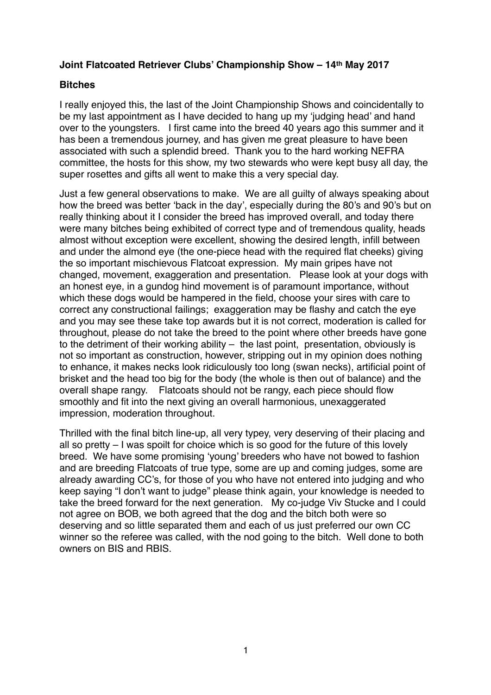## **Joint Flatcoated Retriever Clubs' Championship Show – 14th May 2017**

## **Bitches**

I really enjoyed this, the last of the Joint Championship Shows and coincidentally to be my last appointment as I have decided to hang up my 'judging head' and hand over to the youngsters. I first came into the breed 40 years ago this summer and it has been a tremendous journey, and has given me great pleasure to have been associated with such a splendid breed. Thank you to the hard working NEFRA committee, the hosts for this show, my two stewards who were kept busy all day, the super rosettes and gifts all went to make this a very special day.

Just a few general observations to make. We are all guilty of always speaking about how the breed was better 'back in the day', especially during the 80's and 90's but on really thinking about it I consider the breed has improved overall, and today there were many bitches being exhibited of correct type and of tremendous quality, heads almost without exception were excellent, showing the desired length, infill between and under the almond eye (the one-piece head with the required flat cheeks) giving the so important mischievous Flatcoat expression. My main gripes have not changed, movement, exaggeration and presentation. Please look at your dogs with an honest eye, in a gundog hind movement is of paramount importance, without which these dogs would be hampered in the field, choose your sires with care to correct any constructional failings; exaggeration may be flashy and catch the eye and you may see these take top awards but it is not correct, moderation is called for throughout, please do not take the breed to the point where other breeds have gone to the detriment of their working ability – the last point, presentation, obviously is not so important as construction, however, stripping out in my opinion does nothing to enhance, it makes necks look ridiculously too long (swan necks), artificial point of brisket and the head too big for the body (the whole is then out of balance) and the overall shape rangy. Flatcoats should not be rangy, each piece should flow smoothly and fit into the next giving an overall harmonious, unexaggerated impression, moderation throughout.

Thrilled with the final bitch line-up, all very typey, very deserving of their placing and all so pretty – I was spoilt for choice which is so good for the future of this lovely breed. We have some promising 'young' breeders who have not bowed to fashion and are breeding Flatcoats of true type, some are up and coming judges, some are already awarding CC's, for those of you who have not entered into judging and who keep saying "I don't want to judge" please think again, your knowledge is needed to take the breed forward for the next generation. My co-judge Viv Stucke and I could not agree on BOB, we both agreed that the dog and the bitch both were so deserving and so little separated them and each of us just preferred our own CC winner so the referee was called, with the nod going to the bitch. Well done to both owners on BIS and RBIS.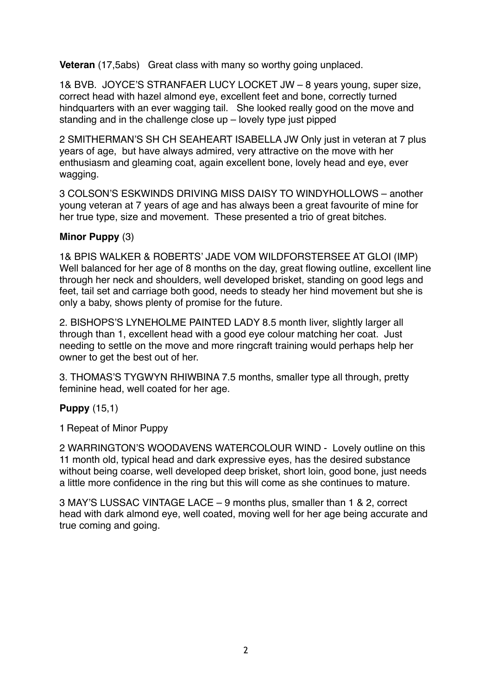**Veteran** (17,5abs) Great class with many so worthy going unplaced.

1& BVB. JOYCE'S STRANFAER LUCY LOCKET JW – 8 years young, super size, correct head with hazel almond eye, excellent feet and bone, correctly turned hindquarters with an ever wagging tail. She looked really good on the move and standing and in the challenge close up – lovely type just pipped

2 SMITHERMAN'S SH CH SEAHEART ISABELLA JW Only just in veteran at 7 plus years of age, but have always admired, very attractive on the move with her enthusiasm and gleaming coat, again excellent bone, lovely head and eye, ever wagging.

3 COLSON'S ESKWINDS DRIVING MISS DAISY TO WINDYHOLLOWS – another young veteran at 7 years of age and has always been a great favourite of mine for her true type, size and movement. These presented a trio of great bitches.

## **Minor Puppy** (3)

1& BPIS WALKER & ROBERTS' JADE VOM WILDFORSTERSEE AT GLOI (IMP) Well balanced for her age of 8 months on the day, great flowing outline, excellent line through her neck and shoulders, well developed brisket, standing on good legs and feet, tail set and carriage both good, needs to steady her hind movement but she is only a baby, shows plenty of promise for the future.

2. BISHOPS'S LYNEHOLME PAINTED LADY 8.5 month liver, slightly larger all through than 1, excellent head with a good eye colour matching her coat. Just needing to settle on the move and more ringcraft training would perhaps help her owner to get the best out of her.

3. THOMAS'S TYGWYN RHIWBINA 7.5 months, smaller type all through, pretty feminine head, well coated for her age.

## **Puppy** (15,1)

1 Repeat of Minor Puppy

2 WARRINGTON'S WOODAVENS WATERCOLOUR WIND - Lovely outline on this 11 month old, typical head and dark expressive eyes, has the desired substance without being coarse, well developed deep brisket, short loin, good bone, just needs a little more confidence in the ring but this will come as she continues to mature.

3 MAY'S LUSSAC VINTAGE LACE – 9 months plus, smaller than 1 & 2, correct head with dark almond eye, well coated, moving well for her age being accurate and true coming and going.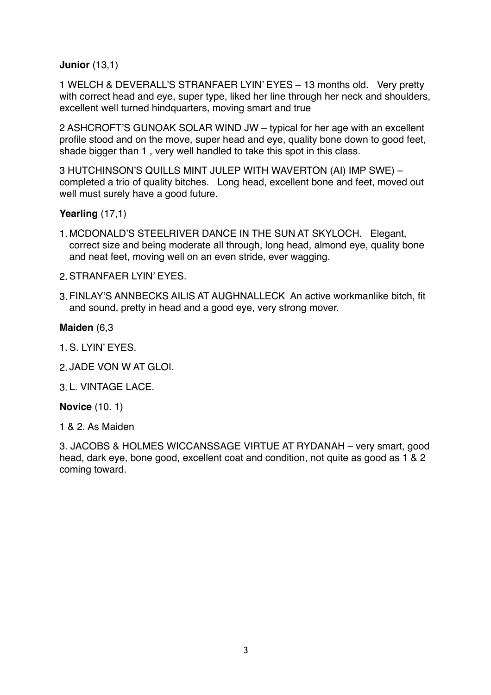**Junior** (13,1)

1 WELCH & DEVERALL'S STRANFAER LYIN' EYES – 13 months old. Very pretty with correct head and eye, super type, liked her line through her neck and shoulders, excellent well turned hindquarters, moving smart and true

2 ASHCROFT'S GUNOAK SOLAR WIND JW – typical for her age with an excellent profile stood and on the move, super head and eye, quality bone down to good feet, shade bigger than 1 , very well handled to take this spot in this class.

3 HUTCHINSON'S QUILLS MINT JULEP WITH WAVERTON (AI) IMP SWE) – completed a trio of quality bitches. Long head, excellent bone and feet, moved out well must surely have a good future.

**Yearling** (17,1)

- 1. MCDONALD'S STEELRIVER DANCE IN THE SUN AT SKYLOCH. Elegant, correct size and being moderate all through, long head, almond eye, quality bone and neat feet, moving well on an even stride, ever wagging.
- 2.STRANFAER LYIN' EYES.
- 3. FINLAY'S ANNBECKS AILIS AT AUGHNALLECK An active workmanlike bitch, fit and sound, pretty in head and a good eye, very strong mover.

#### **Maiden** (6,3

- 1.S. LYIN' EYES.
- 2. JADE VON W AT GLOI.
- 3. L. VINTAGE LACE.

#### **Novice** (10. 1)

1 & 2. As Maiden

3. JACOBS & HOLMES WICCANSSAGE VIRTUE AT RYDANAH – very smart, good head, dark eye, bone good, excellent coat and condition, not quite as good as 1 & 2 coming toward.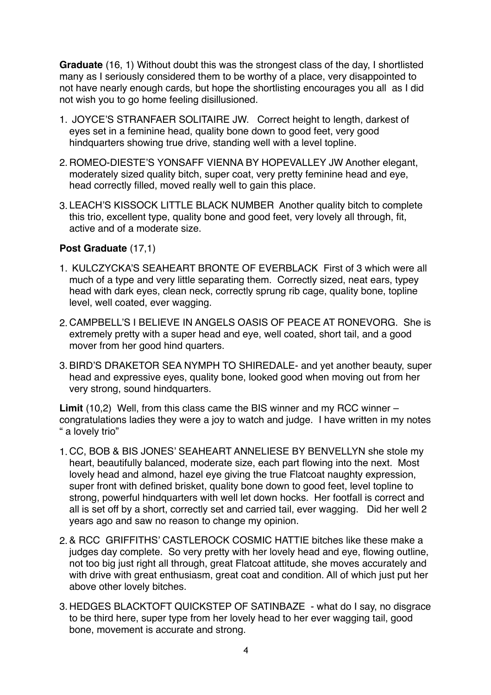**Graduate** (16, 1) Without doubt this was the strongest class of the day, I shortlisted many as I seriously considered them to be worthy of a place, very disappointed to not have nearly enough cards, but hope the shortlisting encourages you all as I did not wish you to go home feeling disillusioned.

- 1. JOYCE'S STRANFAER SOLITAIRE JW. Correct height to length, darkest of eyes set in a feminine head, quality bone down to good feet, very good hindquarters showing true drive, standing well with a level topline.
- 2. ROMEO-DIESTE'S YONSAFF VIENNA BY HOPEVALLEY JW Another elegant, moderately sized quality bitch, super coat, very pretty feminine head and eye, head correctly filled, moved really well to gain this place.
- 3. LEACH'S KISSOCK LITTLE BLACK NUMBER Another quality bitch to complete this trio, excellent type, quality bone and good feet, very lovely all through, fit, active and of a moderate size.

### **Post Graduate** (17,1)

- 1. KULCZYCKA'S SEAHEART BRONTE OF EVERBLACK First of 3 which were all much of a type and very little separating them. Correctly sized, neat ears, typey head with dark eyes, clean neck, correctly sprung rib cage, quality bone, topline level, well coated, ever wagging.
- 2. CAMPBELL'S I BELIEVE IN ANGELS OASIS OF PEACE AT RONEVORG. She is extremely pretty with a super head and eye, well coated, short tail, and a good mover from her good hind quarters.
- 3.BIRD'S DRAKETOR SEA NYMPH TO SHIREDALE- and yet another beauty, super head and expressive eyes, quality bone, looked good when moving out from her very strong, sound hindquarters.

**Limit** (10,2) Well, from this class came the BIS winner and my RCC winner – congratulations ladies they were a joy to watch and judge. I have written in my notes " a lovely trio"

- 1. CC, BOB & BIS JONES' SEAHEART ANNELIESE BY BENVELLYN she stole my heart, beautifully balanced, moderate size, each part flowing into the next. Most lovely head and almond, hazel eye giving the true Flatcoat naughty expression, super front with defined brisket, quality bone down to good feet, level topline to strong, powerful hindquarters with well let down hocks. Her footfall is correct and all is set off by a short, correctly set and carried tail, ever wagging. Did her well 2 years ago and saw no reason to change my opinion.
- 2.& RCC GRIFFITHS' CASTLEROCK COSMIC HATTIE bitches like these make a judges day complete. So very pretty with her lovely head and eye, flowing outline, not too big just right all through, great Flatcoat attitude, she moves accurately and with drive with great enthusiasm, great coat and condition. All of which just put her above other lovely bitches.
- 3. HEDGES BLACKTOFT QUICKSTEP OF SATINBAZE what do I say, no disgrace to be third here, super type from her lovely head to her ever wagging tail, good bone, movement is accurate and strong.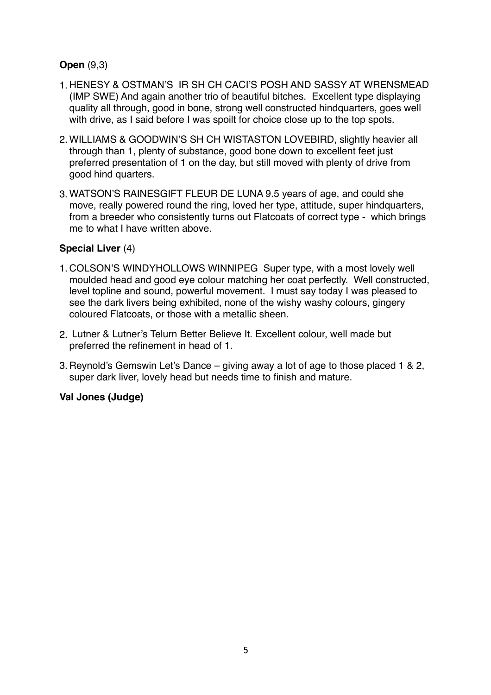## **Open** (9,3)

- 1. HENESY & OSTMAN'S IR SH CH CACI'S POSH AND SASSY AT WRENSMEAD (IMP SWE) And again another trio of beautiful bitches. Excellent type displaying quality all through, good in bone, strong well constructed hindquarters, goes well with drive, as I said before I was spoilt for choice close up to the top spots.
- 2. WILLIAMS & GOODWIN'S SH CH WISTASTON LOVEBIRD, slightly heavier all through than 1, plenty of substance, good bone down to excellent feet just preferred presentation of 1 on the day, but still moved with plenty of drive from good hind quarters.
- 3. WATSON'S RAINESGIFT FLEUR DE LUNA 9.5 years of age, and could she move, really powered round the ring, loved her type, attitude, super hindquarters, from a breeder who consistently turns out Flatcoats of correct type - which brings me to what I have written above.

## **Special Liver** (4)

- 1. COLSON'S WINDYHOLLOWS WINNIPEG Super type, with a most lovely well moulded head and good eye colour matching her coat perfectly. Well constructed, level topline and sound, powerful movement. I must say today I was pleased to see the dark livers being exhibited, none of the wishy washy colours, gingery coloured Flatcoats, or those with a metallic sheen.
- 2. Lutner & Lutner's Telurn Better Believe It. Excellent colour, well made but preferred the refinement in head of 1.
- 3. Reynold's Gemswin Let's Dance giving away a lot of age to those placed 1 & 2, super dark liver, lovely head but needs time to finish and mature.

## **Val Jones (Judge)**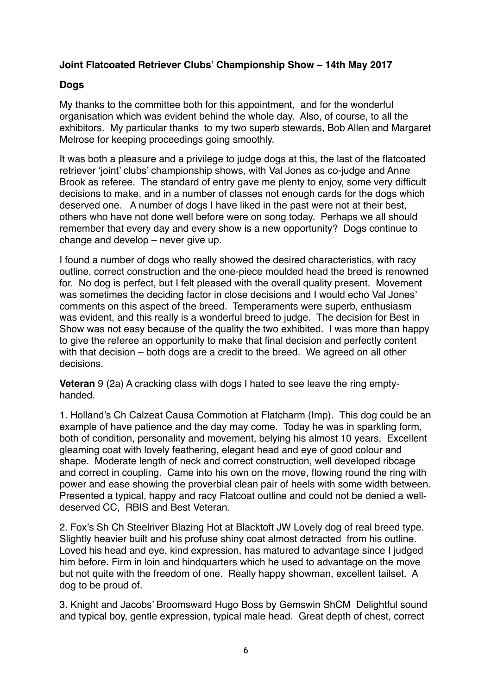## **Joint Flatcoated Retriever Clubs' Championship Show – 14th May 2017**

# **Dogs**

My thanks to the committee both for this appointment, and for the wonderful organisation which was evident behind the whole day. Also, of course, to all the exhibitors. My particular thanks to my two superb stewards, Bob Allen and Margaret Melrose for keeping proceedings going smoothly.

It was both a pleasure and a privilege to judge dogs at this, the last of the flatcoated retriever 'joint' clubs' championship shows, with Val Jones as co-judge and Anne Brook as referee. The standard of entry gave me plenty to enjoy, some very difficult decisions to make, and in a number of classes not enough cards for the dogs which deserved one. A number of dogs I have liked in the past were not at their best, others who have not done well before were on song today. Perhaps we all should remember that every day and every show is a new opportunity? Dogs continue to change and develop – never give up.

I found a number of dogs who really showed the desired characteristics, with racy outline, correct construction and the one-piece moulded head the breed is renowned for. No dog is perfect, but I felt pleased with the overall quality present. Movement was sometimes the deciding factor in close decisions and I would echo Val Jones' comments on this aspect of the breed. Temperaments were superb, enthusiasm was evident, and this really is a wonderful breed to judge. The decision for Best in Show was not easy because of the quality the two exhibited. I was more than happy to give the referee an opportunity to make that final decision and perfectly content with that decision – both dogs are a credit to the breed. We agreed on all other decisions.

**Veteran** 9 (2a) A cracking class with dogs I hated to see leave the ring emptyhanded.

1. Holland's Ch Calzeat Causa Commotion at Flatcharm (Imp). This dog could be an example of have patience and the day may come. Today he was in sparkling form, both of condition, personality and movement, belying his almost 10 years. Excellent gleaming coat with lovely feathering, elegant head and eye of good colour and shape. Moderate length of neck and correct construction, well developed ribcage and correct in coupling. Came into his own on the move, flowing round the ring with power and ease showing the proverbial clean pair of heels with some width between. Presented a typical, happy and racy Flatcoat outline and could not be denied a welldeserved CC, RBIS and Best Veteran.

2. Fox's Sh Ch Steelriver Blazing Hot at Blacktoft JW Lovely dog of real breed type. Slightly heavier built and his profuse shiny coat almost detracted from his outline. Loved his head and eye, kind expression, has matured to advantage since I judged him before. Firm in loin and hindquarters which he used to advantage on the move but not quite with the freedom of one. Really happy showman, excellent tailset. A dog to be proud of.

3. Knight and Jacobs' Broomsward Hugo Boss by Gemswin ShCM Delightful sound and typical boy, gentle expression, typical male head. Great depth of chest, correct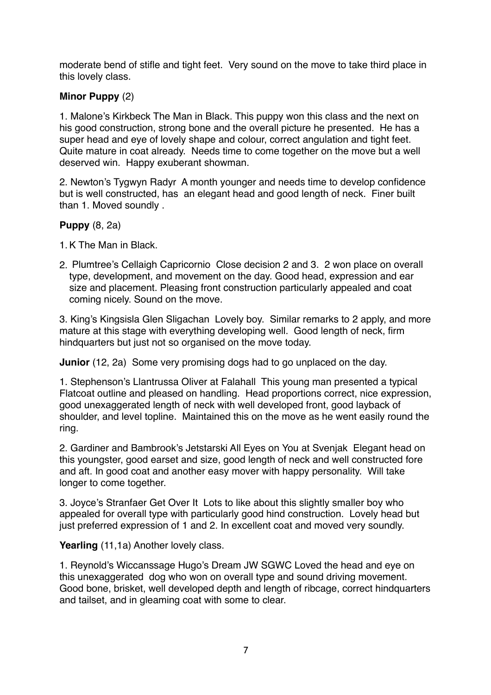moderate bend of stifle and tight feet. Very sound on the move to take third place in this lovely class.

# **Minor Puppy** (2)

1. Malone's Kirkbeck The Man in Black. This puppy won this class and the next on his good construction, strong bone and the overall picture he presented. He has a super head and eye of lovely shape and colour, correct angulation and tight feet. Quite mature in coat already. Needs time to come together on the move but a well deserved win. Happy exuberant showman.

2. Newton's Tygwyn Radyr A month younger and needs time to develop confidence but is well constructed, has an elegant head and good length of neck. Finer built than 1. Moved soundly .

# **Puppy** (8, 2a)

- 1.K The Man in Black.
- 2. Plumtree's Cellaigh Capricornio Close decision 2 and 3. 2 won place on overall type, development, and movement on the day. Good head, expression and ear size and placement. Pleasing front construction particularly appealed and coat coming nicely. Sound on the move.

3. King's Kingsisla Glen Sligachan Lovely boy. Similar remarks to 2 apply, and more mature at this stage with everything developing well. Good length of neck, firm hindquarters but just not so organised on the move today.

**Junior** (12, 2a) Some very promising dogs had to go unplaced on the day.

1. Stephenson's Llantrussa Oliver at Falahall This young man presented a typical Flatcoat outline and pleased on handling. Head proportions correct, nice expression, good unexaggerated length of neck with well developed front, good layback of shoulder, and level topline. Maintained this on the move as he went easily round the ring.

2. Gardiner and Bambrook's Jetstarski All Eyes on You at Svenjak Elegant head on this youngster, good earset and size, good length of neck and well constructed fore and aft. In good coat and another easy mover with happy personality. Will take longer to come together.

3. Joyce's Stranfaer Get Over It Lots to like about this slightly smaller boy who appealed for overall type with particularly good hind construction. Lovely head but just preferred expression of 1 and 2. In excellent coat and moved very soundly.

Yearling (11,1a) Another lovely class.

1. Reynold's Wiccanssage Hugo's Dream JW SGWC Loved the head and eye on this unexaggerated dog who won on overall type and sound driving movement. Good bone, brisket, well developed depth and length of ribcage, correct hindquarters and tailset, and in gleaming coat with some to clear.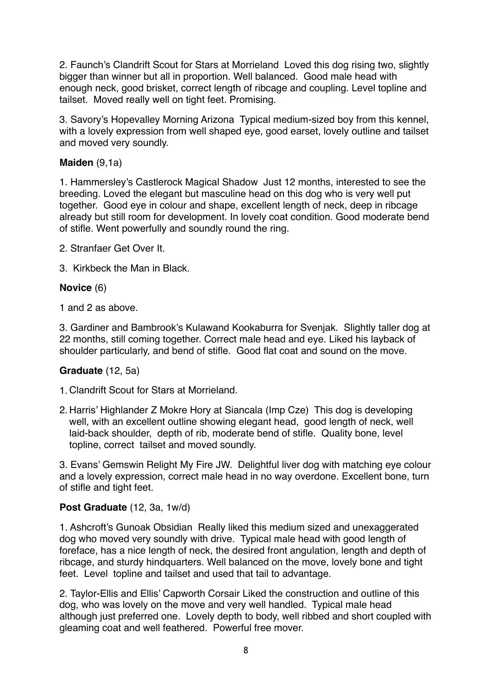2. Faunch's Clandrift Scout for Stars at Morrieland Loved this dog rising two, slightly bigger than winner but all in proportion. Well balanced. Good male head with enough neck, good brisket, correct length of ribcage and coupling. Level topline and tailset. Moved really well on tight feet. Promising.

3. Savory's Hopevalley Morning Arizona Typical medium-sized boy from this kennel, with a lovely expression from well shaped eye, good earset, lovely outline and tailset and moved very soundly.

## **Maiden** (9,1a)

1. Hammersley's Castlerock Magical Shadow Just 12 months, interested to see the breeding. Loved the elegant but masculine head on this dog who is very well put together. Good eye in colour and shape, excellent length of neck, deep in ribcage already but still room for development. In lovely coat condition. Good moderate bend of stifle. Went powerfully and soundly round the ring.

2. Stranfaer Get Over It.

3. Kirkbeck the Man in Black.

#### **Novice** (6)

1 and 2 as above.

3. Gardiner and Bambrook's Kulawand Kookaburra for Svenjak. Slightly taller dog at 22 months, still coming together. Correct male head and eye. Liked his layback of shoulder particularly, and bend of stifle. Good flat coat and sound on the move.

### **Graduate** (12, 5a)

1. Clandrift Scout for Stars at Morrieland.

2. Harris' Highlander Z Mokre Hory at Siancala (Imp Cze) This dog is developing well, with an excellent outline showing elegant head, good length of neck, well laid-back shoulder, depth of rib, moderate bend of stifle. Quality bone, level topline, correct tailset and moved soundly.

3. Evans' Gemswin Relight My Fire JW. Delightful liver dog with matching eye colour and a lovely expression, correct male head in no way overdone. Excellent bone, turn of stifle and tight feet.

#### **Post Graduate** (12, 3a, 1w/d)

1. Ashcroft's Gunoak Obsidian Really liked this medium sized and unexaggerated dog who moved very soundly with drive. Typical male head with good length of foreface, has a nice length of neck, the desired front angulation, length and depth of ribcage, and sturdy hindquarters. Well balanced on the move, lovely bone and tight feet. Level topline and tailset and used that tail to advantage.

2. Taylor-Ellis and Ellis' Capworth Corsair Liked the construction and outline of this dog, who was lovely on the move and very well handled. Typical male head although just preferred one. Lovely depth to body, well ribbed and short coupled with gleaming coat and well feathered. Powerful free mover.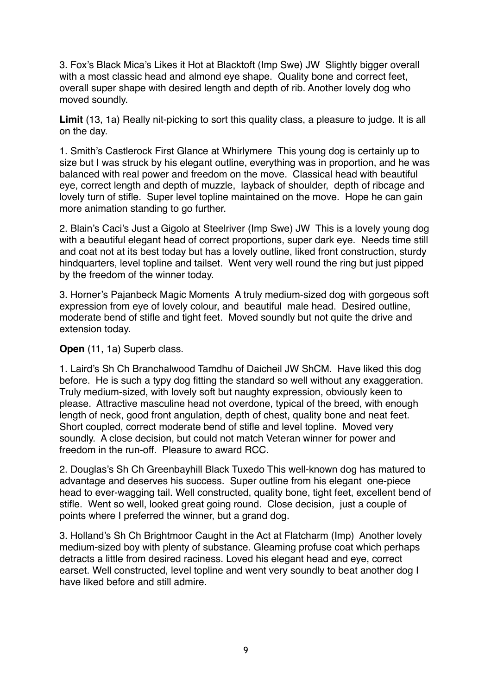3. Fox's Black Mica's Likes it Hot at Blacktoft (Imp Swe) JW Slightly bigger overall with a most classic head and almond eye shape. Quality bone and correct feet, overall super shape with desired length and depth of rib. Another lovely dog who moved soundly.

**Limit** (13, 1a) Really nit-picking to sort this quality class, a pleasure to judge. It is all on the day.

1. Smith's Castlerock First Glance at Whirlymere This young dog is certainly up to size but I was struck by his elegant outline, everything was in proportion, and he was balanced with real power and freedom on the move. Classical head with beautiful eye, correct length and depth of muzzle, layback of shoulder, depth of ribcage and lovely turn of stifle. Super level topline maintained on the move. Hope he can gain more animation standing to go further.

2. Blain's Caci's Just a Gigolo at Steelriver (Imp Swe) JW This is a lovely young dog with a beautiful elegant head of correct proportions, super dark eye. Needs time still and coat not at its best today but has a lovely outline, liked front construction, sturdy hindquarters, level topline and tailset. Went very well round the ring but just pipped by the freedom of the winner today.

3. Horner's Pajanbeck Magic Moments A truly medium-sized dog with gorgeous soft expression from eye of lovely colour, and beautiful male head. Desired outline, moderate bend of stifle and tight feet. Moved soundly but not quite the drive and extension today.

**Open** (11, 1a) Superb class.

1. Laird's Sh Ch Branchalwood Tamdhu of Daicheil JW ShCM. Have liked this dog before. He is such a typy dog fitting the standard so well without any exaggeration. Truly medium-sized, with lovely soft but naughty expression, obviously keen to please. Attractive masculine head not overdone, typical of the breed, with enough length of neck, good front angulation, depth of chest, quality bone and neat feet. Short coupled, correct moderate bend of stifle and level topline. Moved very soundly. A close decision, but could not match Veteran winner for power and freedom in the run-off. Pleasure to award RCC.

2. Douglas's Sh Ch Greenbayhill Black Tuxedo This well-known dog has matured to advantage and deserves his success. Super outline from his elegant one-piece head to ever-wagging tail. Well constructed, quality bone, tight feet, excellent bend of stifle. Went so well, looked great going round. Close decision, just a couple of points where I preferred the winner, but a grand dog.

3. Holland's Sh Ch Brightmoor Caught in the Act at Flatcharm (Imp) Another lovely medium-sized boy with plenty of substance. Gleaming profuse coat which perhaps detracts a little from desired raciness. Loved his elegant head and eye, correct earset. Well constructed, level topline and went very soundly to beat another dog I have liked before and still admire.